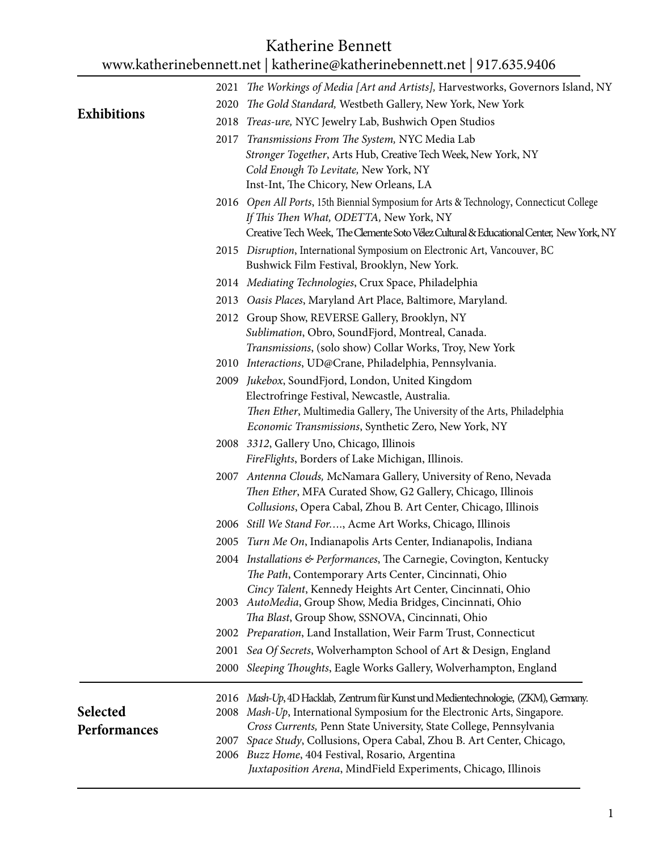## Katherine Bennett

## [www.katherinebennett.net](http://www.katherinebennett.net/) | katherine@katherinebennett.net | 917.635.9406

|                    | 2021 The Workings of Media [Art and Artists], Harvestworks, Governors Island, NY                                                 |
|--------------------|----------------------------------------------------------------------------------------------------------------------------------|
|                    | 2020 The Gold Standard, Westbeth Gallery, New York, New York                                                                     |
| <b>Exhibitions</b> | 2018 Treas-ure, NYC Jewelry Lab, Bushwich Open Studios                                                                           |
|                    | 2017 Transmissions From The System, NYC Media Lab                                                                                |
|                    | Stronger Together, Arts Hub, Creative Tech Week, New York, NY                                                                    |
|                    | Cold Enough To Levitate, New York, NY                                                                                            |
|                    | Inst-Int, The Chicory, New Orleans, LA                                                                                           |
|                    | 2016 Open All Ports, 15th Biennial Symposium for Arts & Technology, Connecticut College                                          |
|                    | If This Then What, ODETTA, New York, NY                                                                                          |
|                    | Creative Tech Week, The Clemente Soto Vélez Cultural & Educational Center, New York, NY                                          |
|                    | 2015 Disruption, International Symposium on Electronic Art, Vancouver, BC<br>Bushwick Film Festival, Brooklyn, New York.         |
|                    | 2014 Mediating Technologies, Crux Space, Philadelphia                                                                            |
|                    | 2013 Oasis Places, Maryland Art Place, Baltimore, Maryland.                                                                      |
|                    | 2012 Group Show, REVERSE Gallery, Brooklyn, NY                                                                                   |
|                    | Sublimation, Obro, SoundFjord, Montreal, Canada.                                                                                 |
|                    | Transmissions, (solo show) Collar Works, Troy, New York                                                                          |
|                    | 2010 Interactions, UD@Crane, Philadelphia, Pennsylvania.                                                                         |
|                    | 2009 Jukebox, SoundFjord, London, United Kingdom                                                                                 |
|                    | Electrofringe Festival, Newcastle, Australia.                                                                                    |
|                    | Then Ether, Multimedia Gallery, The University of the Arts, Philadelphia<br>Economic Transmissions, Synthetic Zero, New York, NY |
|                    | 2008 3312, Gallery Uno, Chicago, Illinois                                                                                        |
|                    | FireFlights, Borders of Lake Michigan, Illinois.                                                                                 |
|                    | 2007 Antenna Clouds, McNamara Gallery, University of Reno, Nevada                                                                |
|                    | Then Ether, MFA Curated Show, G2 Gallery, Chicago, Illinois                                                                      |
|                    | Collusions, Opera Cabal, Zhou B. Art Center, Chicago, Illinois                                                                   |
|                    | 2006 Still We Stand For, Acme Art Works, Chicago, Illinois                                                                       |
|                    | 2005 Turn Me On, Indianapolis Arts Center, Indianapolis, Indiana                                                                 |
|                    | 2004 Installations & Performances, The Carnegie, Covington, Kentucky<br>The Path, Contemporary Arts Center, Cincinnati, Ohio     |
|                    | Cincy Talent, Kennedy Heights Art Center, Cincinnati, Ohio<br>2003 AutoMedia, Group Show, Media Bridges, Cincinnati, Ohio        |
|                    | Tha Blast, Group Show, SSNOVA, Cincinnati, Ohio                                                                                  |
|                    | 2002 Preparation, Land Installation, Weir Farm Trust, Connecticut                                                                |
|                    | 2001 Sea Of Secrets, Wolverhampton School of Art & Design, England                                                               |
|                    | 2000 Sleeping Thoughts, Eagle Works Gallery, Wolverhampton, England                                                              |
|                    | 2016 Mash-Up, 4D Hacklab, Zentrum für Kunst und Medientechnologie, (ZKM), Germany.                                               |
| Selected           | 2008 Mash-Up, International Symposium for the Electronic Arts, Singapore.                                                        |
| Performances       | Cross Currents, Penn State University, State College, Pennsylvania                                                               |
|                    | 2007 Space Study, Collusions, Opera Cabal, Zhou B. Art Center, Chicago,<br>2006 Buzz Home, 404 Festival, Rosario, Argentina      |
|                    | Juxtaposition Arena, MindField Experiments, Chicago, Illinois                                                                    |
|                    |                                                                                                                                  |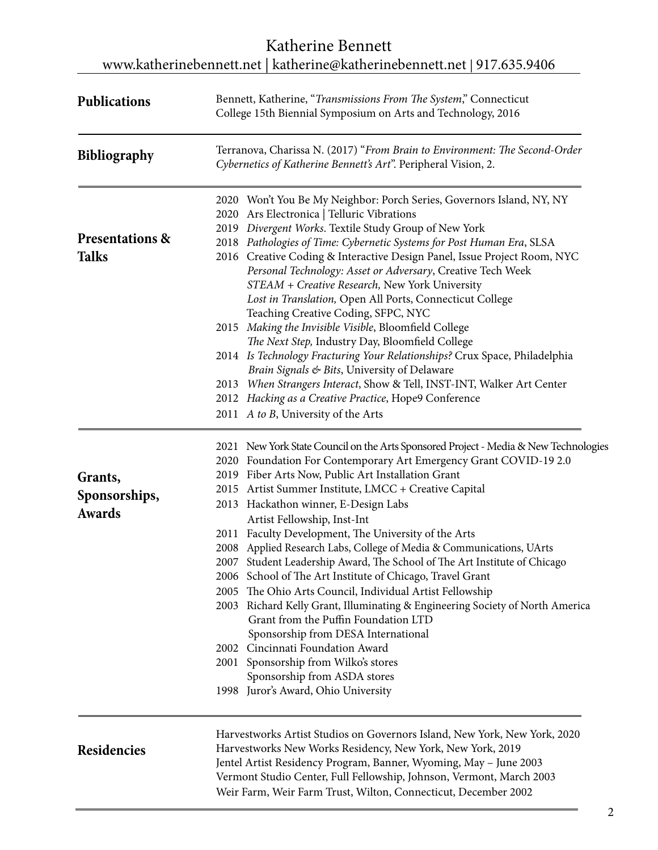## Katherine Bennett [www.katherinebennett.net](http://www.katherinebennett.net/) | katherine@katherinebennett.net | 917.635.9406

| <b>Publications</b>                                               | Bennett, Katherine, "Transmissions From The System," Connecticut<br>College 15th Biennial Symposium on Arts and Technology, 2016                                                                                                                                                                                                     |  |  |
|-------------------------------------------------------------------|--------------------------------------------------------------------------------------------------------------------------------------------------------------------------------------------------------------------------------------------------------------------------------------------------------------------------------------|--|--|
| <b>Bibliography</b><br><b>Presentations &amp;</b><br><b>Talks</b> | Terranova, Charissa N. (2017) "From Brain to Environment: The Second-Order<br>Cybernetics of Katherine Bennett's Art". Peripheral Vision, 2.                                                                                                                                                                                         |  |  |
|                                                                   | 2020 Won't You Be My Neighbor: Porch Series, Governors Island, NY, NY<br>2020 Ars Electronica   Telluric Vibrations<br>Divergent Works. Textile Study Group of New York<br>2019<br>2018 Pathologies of Time: Cybernetic Systems for Post Human Era, SLSA<br>2016 Creative Coding & Interactive Design Panel, Issue Project Room, NYC |  |  |
|                                                                   | Personal Technology: Asset or Adversary, Creative Tech Week<br>STEAM + Creative Research, New York University<br>Lost in Translation, Open All Ports, Connecticut College<br>Teaching Creative Coding, SFPC, NYC<br>2015 Making the Invisible Visible, Bloomfield College                                                            |  |  |
|                                                                   | The Next Step, Industry Day, Bloomfield College<br>2014 Is Technology Fracturing Your Relationships? Crux Space, Philadelphia<br>Brain Signals & Bits, University of Delaware<br>2013 When Strangers Interact, Show & Tell, INST-INT, Walker Art Center                                                                              |  |  |
|                                                                   | 2012 Hacking as a Creative Practice, Hope9 Conference<br>2011 A to B, University of the Arts                                                                                                                                                                                                                                         |  |  |
|                                                                   | 2021 New York State Council on the Arts Sponsored Project - Media & New Technologies<br>2020 Foundation For Contemporary Art Emergency Grant COVID-19 2.0                                                                                                                                                                            |  |  |
| Grants,<br>Sponsorships,<br>Awards                                | 2019 Fiber Arts Now, Public Art Installation Grant<br>2015 Artist Summer Institute, LMCC + Creative Capital<br>2013 Hackathon winner, E-Design Labs<br>Artist Fellowship, Inst-Int                                                                                                                                                   |  |  |
|                                                                   | 2011 Faculty Development, The University of the Arts<br>2008 Applied Research Labs, College of Media & Communications, UArts<br>2007 Student Leadership Award, The School of The Art Institute of Chicago<br>2006 School of The Art Institute of Chicago, Travel Grant<br>2005 The Ohio Arts Council, Individual Artist Fellowship   |  |  |
|                                                                   | 2003 Richard Kelly Grant, Illuminating & Engineering Society of North America<br>Grant from the Puffin Foundation LTD<br>Sponsorship from DESA International                                                                                                                                                                         |  |  |
|                                                                   | 2002 Cincinnati Foundation Award<br>2001 Sponsorship from Wilko's stores<br>Sponsorship from ASDA stores                                                                                                                                                                                                                             |  |  |
|                                                                   | 1998 Juror's Award, Ohio University                                                                                                                                                                                                                                                                                                  |  |  |
| <b>Residencies</b>                                                | Harvestworks Artist Studios on Governors Island, New York, New York, 2020<br>Harvestworks New Works Residency, New York, New York, 2019<br>Jentel Artist Residency Program, Banner, Wyoming, May - June 2003<br>Vermont Studio Center, Full Fellowship, Johnson, Vermont, March 2003                                                 |  |  |
|                                                                   | Weir Farm, Weir Farm Trust, Wilton, Connecticut, December 2002                                                                                                                                                                                                                                                                       |  |  |